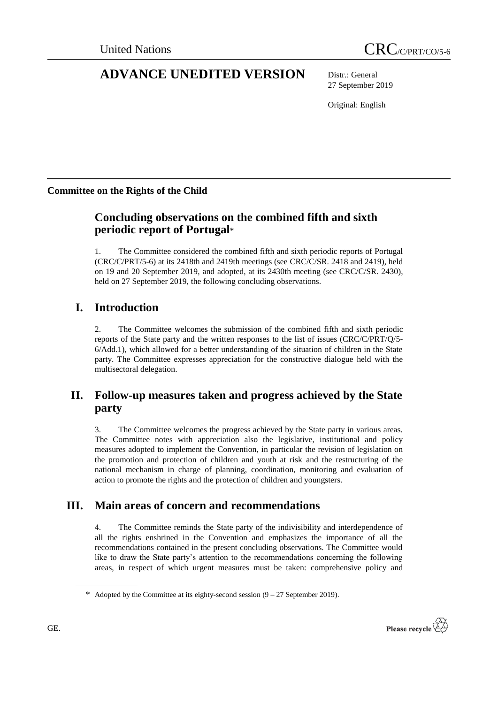# **ADVANCE UNEDITED VERSION** Distr.: General

27 September 2019

Original: English

## **Committee on the Rights of the Child**

## **Concluding observations on the combined fifth and sixth periodic report of Portugal**\*

1. The Committee considered the combined fifth and sixth periodic reports of Portugal (CRC/C/PRT/5-6) at its 2418th and 2419th meetings (see CRC/C/SR. 2418 and 2419), held on 19 and 20 September 2019, and adopted, at its 2430th meeting (see CRC/C/SR. 2430), held on 27 September 2019, the following concluding observations.

## **I. Introduction**

2. The Committee welcomes the submission of the combined fifth and sixth periodic reports of the State party and the written responses to the list of issues (CRC/C/PRT/Q/5- 6/Add.1), which allowed for a better understanding of the situation of children in the State party. The Committee expresses appreciation for the constructive dialogue held with the multisectoral delegation.

## **II. Follow-up measures taken and progress achieved by the State party**

3. The Committee welcomes the progress achieved by the State party in various areas. The Committee notes with appreciation also the legislative, institutional and policy measures adopted to implement the Convention, in particular the revision of legislation on the promotion and protection of children and youth at risk and the restructuring of the national mechanism in charge of planning, coordination, monitoring and evaluation of action to promote the rights and the protection of children and youngsters.

## **III. Main areas of concern and recommendations**

4. The Committee reminds the State party of the indivisibility and interdependence of all the rights enshrined in the Convention and emphasizes the importance of all the recommendations contained in the present concluding observations. The Committee would like to draw the State party's attention to the recommendations concerning the following areas, in respect of which urgent measures must be taken: comprehensive policy and



<sup>\*</sup> Adopted by the Committee at its eighty-second session  $(9 - 27$  September 2019).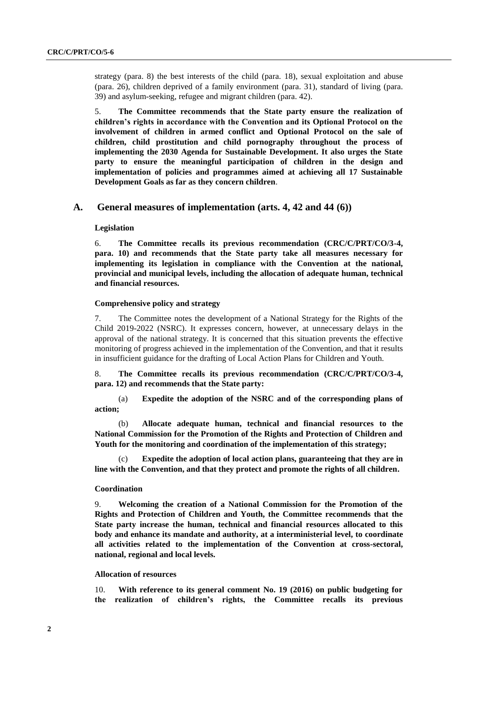strategy (para. 8) the best interests of the child (para. 18), sexual exploitation and abuse (para. 26), children deprived of a family environment (para. 31), standard of living (para. 39) and asylum-seeking, refugee and migrant children (para. 42).

5. **The Committee recommends that the State party ensure the realization of children's rights in accordance with the Convention and its Optional Protocol on the involvement of children in armed conflict and Optional Protocol on the sale of children, child prostitution and child pornography throughout the process of implementing the 2030 Agenda for Sustainable Development. It also urges the State party to ensure the meaningful participation of children in the design and implementation of policies and programmes aimed at achieving all 17 Sustainable Development Goals as far as they concern children**.

### **A. General measures of implementation (arts. 4, 42 and 44 (6))**

#### **Legislation**

6. **The Committee recalls its previous recommendation (CRC/C/PRT/CO/3-4, para. 10) and recommends that the State party take all measures necessary for implementing its legislation in compliance with the Convention at the national, provincial and municipal levels, including the allocation of adequate human, technical and financial resources.**

#### **Comprehensive policy and strategy**

7. The Committee notes the development of a National Strategy for the Rights of the Child 2019-2022 (NSRC). It expresses concern, however, at unnecessary delays in the approval of the national strategy. It is concerned that this situation prevents the effective monitoring of progress achieved in the implementation of the Convention, and that it results in insufficient guidance for the drafting of Local Action Plans for Children and Youth.

8. **The Committee recalls its previous recommendation (CRC/C/PRT/CO/3-4, para. 12) and recommends that the State party:**

(a) **Expedite the adoption of the NSRC and of the corresponding plans of action;**

(b) **Allocate adequate human, technical and financial resources to the National Commission for the Promotion of the Rights and Protection of Children and Youth for the monitoring and coordination of the implementation of this strategy;**

(c) **Expedite the adoption of local action plans, guaranteeing that they are in line with the Convention, and that they protect and promote the rights of all children.**

#### **Coordination**

9. **Welcoming the creation of a National Commission for the Promotion of the Rights and Protection of Children and Youth, the Committee recommends that the State party increase the human, technical and financial resources allocated to this body and enhance its mandate and authority, at a interministerial level, to coordinate all activities related to the implementation of the Convention at cross-sectoral, national, regional and local levels.**

#### **Allocation of resources**

10. **With reference to its general comment No. 19 (2016) on public budgeting for the realization of children's rights, the Committee recalls its previous**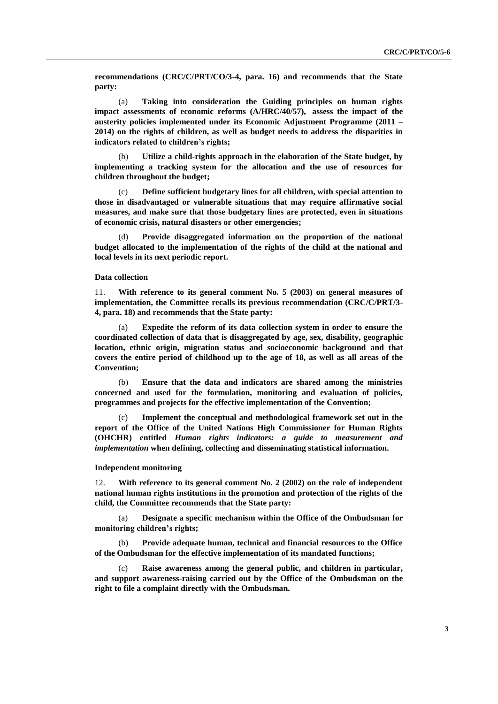**recommendations (CRC/C/PRT/CO/3-4, para. 16) and recommends that the State party:**

(a) **Taking into consideration the Guiding principles on human rights impact assessments of economic reforms (A/HRC/40/57), assess the impact of the austerity policies implemented under its Economic Adjustment Programme (2011 – 2014) on the rights of children, as well as budget needs to address the disparities in indicators related to children's rights;**

(b) **Utilize a child-rights approach in the elaboration of the State budget, by implementing a tracking system for the allocation and the use of resources for children throughout the budget;**

(c) **Define sufficient budgetary lines for all children, with special attention to those in disadvantaged or vulnerable situations that may require affirmative social measures, and make sure that those budgetary lines are protected, even in situations of economic crisis, natural disasters or other emergencies;**

(d) **Provide disaggregated information on the proportion of the national budget allocated to the implementation of the rights of the child at the national and local levels in its next periodic report.**

#### **Data collection**

11. **With reference to its general comment No. 5 (2003) on general measures of implementation, the Committee recalls its previous recommendation (CRC/C/PRT/3- 4, para. 18) and recommends that the State party:**

(a) **Expedite the reform of its data collection system in order to ensure the coordinated collection of data that is disaggregated by age, sex, disability, geographic location, ethnic origin, migration status and socioeconomic background and that covers the entire period of childhood up to the age of 18, as well as all areas of the Convention;**

(b) **Ensure that the data and indicators are shared among the ministries concerned and used for the formulation, monitoring and evaluation of policies, programmes and projects for the effective implementation of the Convention;** 

(c) **Implement the conceptual and methodological framework set out in the report of the Office of the United Nations High Commissioner for Human Rights (OHCHR) entitled** *Human rights indicators: a guide to measurement and implementation* **when defining, collecting and disseminating statistical information.**

#### **Independent monitoring**

12. **With reference to its general comment No. 2 (2002) on the role of independent national human rights institutions in the promotion and protection of the rights of the child, the Committee recommends that the State party:**

(a) **Designate a specific mechanism within the Office of the Ombudsman for monitoring children's rights;**

(b) **Provide adequate human, technical and financial resources to the Office of the Ombudsman for the effective implementation of its mandated functions;**

(c) **Raise awareness among the general public, and children in particular, and support awareness-raising carried out by the Office of the Ombudsman on the right to file a complaint directly with the Ombudsman.**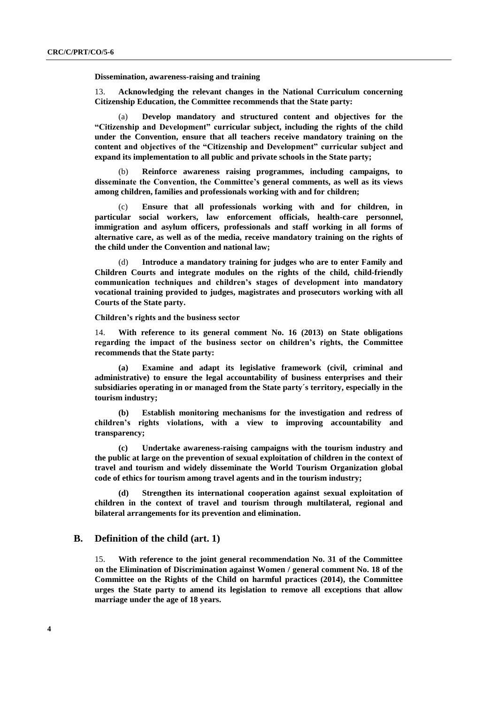**Dissemination, awareness-raising and training**

13. **Acknowledging the relevant changes in the National Curriculum concerning Citizenship Education, the Committee recommends that the State party:**

(a) **Develop mandatory and structured content and objectives for the "Citizenship and Development" curricular subject, including the rights of the child under the Convention, ensure that all teachers receive mandatory training on the content and objectives of the "Citizenship and Development" curricular subject and expand its implementation to all public and private schools in the State party;**

(b) **Reinforce awareness raising programmes, including campaigns, to disseminate the Convention, the Committee's general comments, as well as its views among children, families and professionals working with and for children;**

(c) **Ensure that all professionals working with and for children, in particular social workers, law enforcement officials, health-care personnel, immigration and asylum officers, professionals and staff working in all forms of alternative care, as well as of the media, receive mandatory training on the rights of the child under the Convention and national law;**

(d) **Introduce a mandatory training for judges who are to enter Family and Children Courts and integrate modules on the rights of the child, child-friendly communication techniques and children's stages of development into mandatory vocational training provided to judges, magistrates and prosecutors working with all Courts of the State party.**

**Children's rights and the business sector**

14. **With reference to its general comment No. 16 (2013) on State obligations regarding the impact of the business sector on children's rights, the Committee recommends that the State party:**

**(a) Examine and adapt its legislative framework (civil, criminal and administrative) to ensure the legal accountability of business enterprises and their subsidiaries operating in or managed from the State party´s territory, especially in the tourism industry;**

**(b) Establish monitoring mechanisms for the investigation and redress of children's rights violations, with a view to improving accountability and transparency;**

**(c) Undertake awareness-raising campaigns with the tourism industry and the public at large on the prevention of sexual exploitation of children in the context of travel and tourism and widely disseminate the World Tourism Organization global code of ethics for tourism among travel agents and in the tourism industry;**

**(d) Strengthen its international cooperation against sexual exploitation of children in the context of travel and tourism through multilateral, regional and bilateral arrangements for its prevention and elimination.**

## **B. Definition of the child (art. 1)**

15. **With reference to the joint general recommendation No. 31 of the Committee on the Elimination of Discrimination against Women / general comment No. 18 of the Committee on the Rights of the Child on harmful practices (2014), the Committee urges the State party to amend its legislation to remove all exceptions that allow marriage under the age of 18 years.**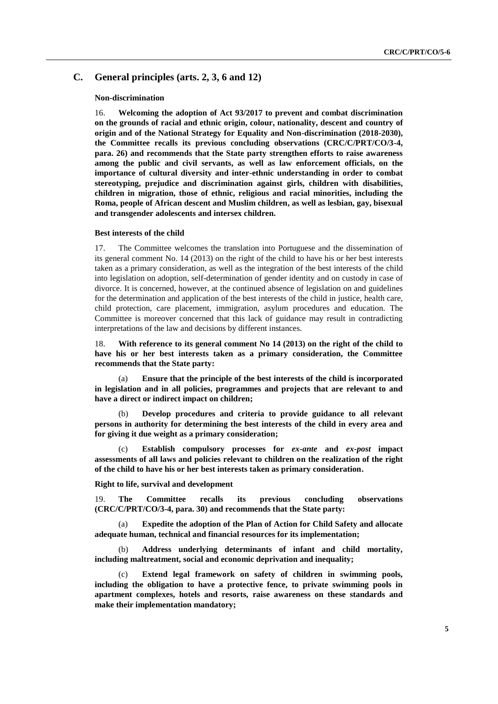## **C. General principles (arts. 2, 3, 6 and 12)**

#### **Non-discrimination**

16. **Welcoming the adoption of Act 93/2017 to prevent and combat discrimination on the grounds of racial and ethnic origin, colour, nationality, descent and country of origin and of the National Strategy for Equality and Non-discrimination (2018-2030), the Committee recalls its previous concluding observations (CRC/C/PRT/CO/3-4, para. 26) and recommends that the State party strengthen efforts to raise awareness among the public and civil servants, as well as law enforcement officials, on the importance of cultural diversity and inter-ethnic understanding in order to combat stereotyping, prejudice and discrimination against girls, children with disabilities, children in migration, those of ethnic, religious and racial minorities, including the Roma, people of African descent and Muslim children, as well as lesbian, gay, bisexual and transgender adolescents and intersex children.**

#### **Best interests of the child**

17. The Committee welcomes the translation into Portuguese and the dissemination of its general comment No. 14 (2013) on the right of the child to have his or her best interests taken as a primary consideration, as well as the integration of the best interests of the child into legislation on adoption, self-determination of gender identity and on custody in case of divorce. It is concerned, however, at the continued absence of legislation on and guidelines for the determination and application of the best interests of the child in justice, health care, child protection, care placement, immigration, asylum procedures and education. The Committee is moreover concerned that this lack of guidance may result in contradicting interpretations of the law and decisions by different instances.

18. **With reference to its general comment No 14 (2013) on the right of the child to have his or her best interests taken as a primary consideration, the Committee recommends that the State party:**

(a) **Ensure that the principle of the best interests of the child is incorporated in legislation and in all policies, programmes and projects that are relevant to and have a direct or indirect impact on children;**

(b) **Develop procedures and criteria to provide guidance to all relevant persons in authority for determining the best interests of the child in every area and for giving it due weight as a primary consideration;**

(c) **Establish compulsory processes for** *ex-ante* **and** *ex-post* **impact assessments of all laws and policies relevant to children on the realization of the right of the child to have his or her best interests taken as primary consideration.** 

**Right to life, survival and development**

19. **The Committee recalls its previous concluding observations (CRC/C/PRT/CO/3-4, para. 30) and recommends that the State party:**

(a) **Expedite the adoption of the Plan of Action for Child Safety and allocate adequate human, technical and financial resources for its implementation;**

(b) **Address underlying determinants of infant and child mortality, including maltreatment, social and economic deprivation and inequality;**

Extend legal framework on safety of children in swimming pools, **including the obligation to have a protective fence, to private swimming pools in apartment complexes, hotels and resorts, raise awareness on these standards and make their implementation mandatory;**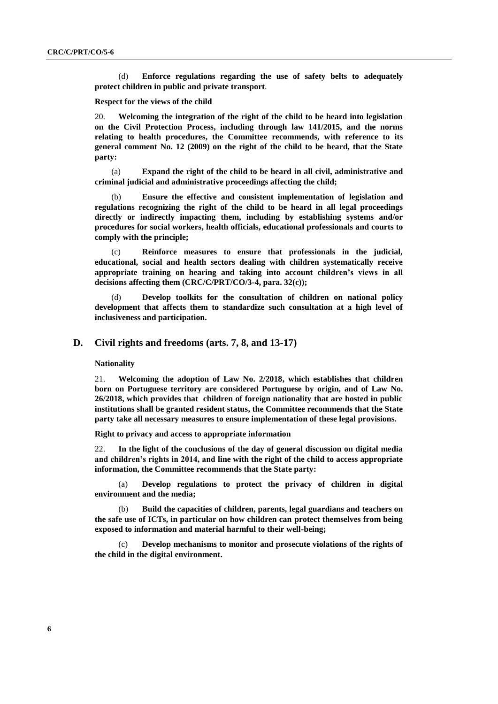(d) **Enforce regulations regarding the use of safety belts to adequately protect children in public and private transport**.

#### **Respect for the views of the child**

20. **Welcoming the integration of the right of the child to be heard into legislation on the Civil Protection Process, including through law 141/2015, and the norms relating to health procedures, the Committee recommends, with reference to its general comment No. 12 (2009) on the right of the child to be heard, that the State party:** 

(a) **Expand the right of the child to be heard in all civil, administrative and criminal judicial and administrative proceedings affecting the child;** 

(b) **Ensure the effective and consistent implementation of legislation and regulations recognizing the right of the child to be heard in all legal proceedings directly or indirectly impacting them, including by establishing systems and/or procedures for social workers, health officials, educational professionals and courts to comply with the principle;** 

(c) **Reinforce measures to ensure that professionals in the judicial, educational, social and health sectors dealing with children systematically receive appropriate training on hearing and taking into account children's views in all decisions affecting them (CRC/C/PRT/CO/3-4, para. 32(c));**

(d) **Develop toolkits for the consultation of children on national policy development that affects them to standardize such consultation at a high level of inclusiveness and participation.**

## **D. Civil rights and freedoms (arts. 7, 8, and 13-17)**

#### **Nationality**

21. **Welcoming the adoption of Law No. 2/2018, which establishes that children born on Portuguese territory are considered Portuguese by origin, and of Law No. 26/2018, which provides that children of foreign nationality that are hosted in public institutions shall be granted resident status, the Committee recommends that the State party take all necessary measures to ensure implementation of these legal provisions.**

**Right to privacy and access to appropriate information**

22. **In the light of the conclusions of the day of general discussion on digital media and children's rights in 2014, and line with the right of the child to access appropriate information, the Committee recommends that the State party:**

(a) **Develop regulations to protect the privacy of children in digital environment and the media;**

(b) **Build the capacities of children, parents, legal guardians and teachers on the safe use of ICTs, in particular on how children can protect themselves from being exposed to information and material harmful to their well-being;**

(c) **Develop mechanisms to monitor and prosecute violations of the rights of the child in the digital environment.**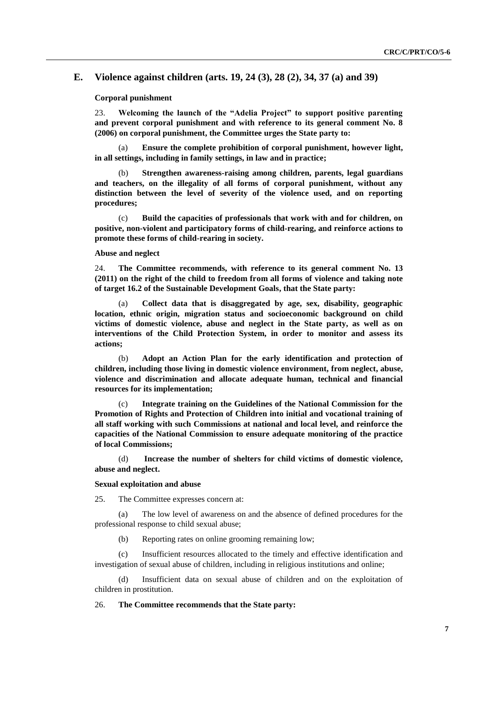## **E. Violence against children (arts. 19, 24 (3), 28 (2), 34, 37 (a) and 39)**

#### **Corporal punishment**

23. **Welcoming the launch of the "Adelia Project" to support positive parenting and prevent corporal punishment and with reference to its general comment No. 8 (2006) on corporal punishment, the Committee urges the State party to:**

(a) **Ensure the complete prohibition of corporal punishment, however light, in all settings, including in family settings, in law and in practice;**

(b) **Strengthen awareness-raising among children, parents, legal guardians and teachers, on the illegality of all forms of corporal punishment, without any distinction between the level of severity of the violence used, and on reporting procedures;**

(c) **Build the capacities of professionals that work with and for children, on positive, non-violent and participatory forms of child-rearing, and reinforce actions to promote these forms of child-rearing in society.**

### **Abuse and neglect**

24. **The Committee recommends, with reference to its general comment No. 13 (2011) on the right of the child to freedom from all forms of violence and taking note of target 16.2 of the Sustainable Development Goals, that the State party:**

(a) **Collect data that is disaggregated by age, sex, disability, geographic location, ethnic origin, migration status and socioeconomic background on child victims of domestic violence, abuse and neglect in the State party, as well as on interventions of the Child Protection System, in order to monitor and assess its actions;**

(b) **Adopt an Action Plan for the early identification and protection of children, including those living in domestic violence environment, from neglect, abuse, violence and discrimination and allocate adequate human, technical and financial resources for its implementation;**

(c) **Integrate training on the Guidelines of the National Commission for the Promotion of Rights and Protection of Children into initial and vocational training of all staff working with such Commissions at national and local level, and reinforce the capacities of the National Commission to ensure adequate monitoring of the practice of local Commissions;**

(d) **Increase the number of shelters for child victims of domestic violence, abuse and neglect.**

#### **Sexual exploitation and abuse**

25. The Committee expresses concern at:

(a) The low level of awareness on and the absence of defined procedures for the professional response to child sexual abuse;

(b) Reporting rates on online grooming remaining low;

(c) Insufficient resources allocated to the timely and effective identification and investigation of sexual abuse of children, including in religious institutions and online;

(d) Insufficient data on sexual abuse of children and on the exploitation of children in prostitution.

#### 26. **The Committee recommends that the State party:**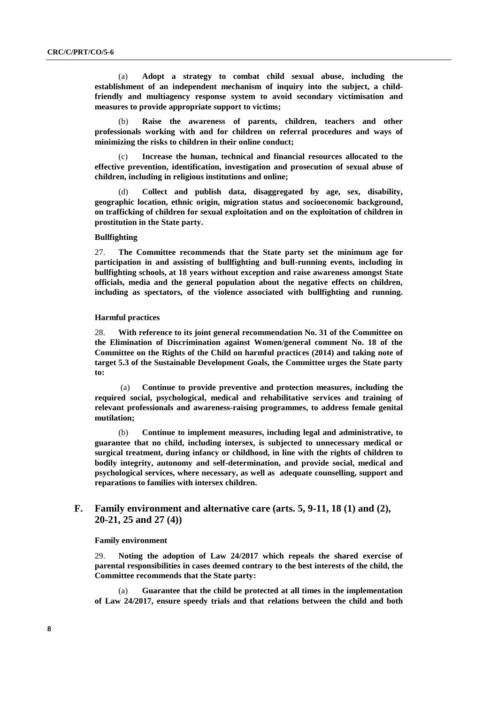(a) **Adopt a strategy to combat child sexual abuse, including the establishment of an independent mechanism of inquiry into the subject, a childfriendly and multiagency response system to avoid secondary victimisation and measures to provide appropriate support to victims;**

(b) **Raise the awareness of parents, children, teachers and other professionals working with and for children on referral procedures and ways of minimizing the risks to children in their online conduct;**

(c) **Increase the human, technical and financial resources allocated to the effective prevention, identification, investigation and prosecution of sexual abuse of children, including in religious institutions and online;**

(d) **Collect and publish data, disaggregated by age, sex, disability, geographic location, ethnic origin, migration status and socioeconomic background, on trafficking of children for sexual exploitation and on the exploitation of children in prostitution in the State party.**

#### **Bullfighting**

27. **The Committee recommends that the State party set the minimum age for participation in and assisting of bullfighting and bull-running events, including in bullfighting schools, at 18 years without exception and raise awareness amongst State officials, media and the general population about the negative effects on children, including as spectators, of the violence associated with bullfighting and running.**

#### **Harmful practices**

28. **With reference to its joint general recommendation No. 31 of the Committee on the Elimination of Discrimination against Women/general comment No. 18 of the Committee on the Rights of the Child on harmful practices (2014) and taking note of target 5.3 of the Sustainable Development Goals, the Committee urges the State party to:**

(a) **Continue to provide preventive and protection measures, including the required social, psychological, medical and rehabilitative services and training of relevant professionals and awareness-raising programmes, to address female genital mutilation;**

(b) **Continue to implement measures, including legal and administrative, to guarantee that no child, including intersex, is subjected to unnecessary medical or surgical treatment, during infancy or childhood, in line with the rights of children to bodily integrity, autonomy and self-determination, and provide social, medical and psychological services, where necessary, as well as adequate counselling, support and reparations to families with intersex children.**

## **F. Family environment and alternative care (arts. 5, 9-11, 18 (1) and (2), 20-21, 25 and 27 (4))**

#### **Family environment**

29. **Noting the adoption of Law 24/2017 which repeals the shared exercise of parental responsibilities in cases deemed contrary to the best interests of the child, the Committee recommends that the State party:**

Guarantee that the child be protected at all times in the implementation **of Law 24/2017, ensure speedy trials and that relations between the child and both**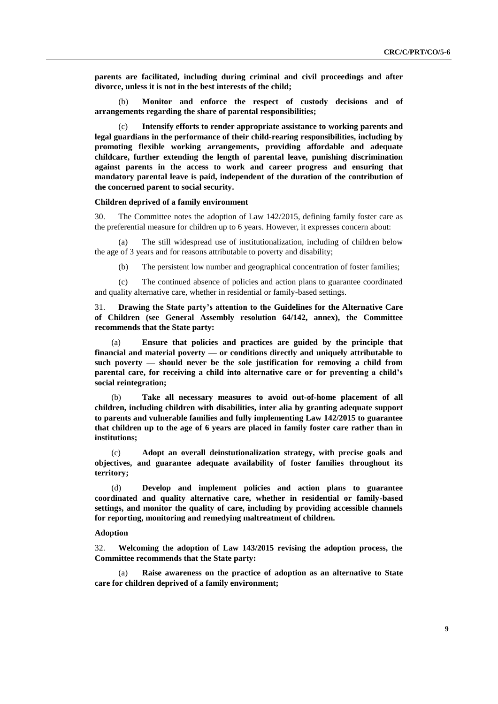**parents are facilitated, including during criminal and civil proceedings and after divorce, unless it is not in the best interests of the child;**

(b) **Monitor and enforce the respect of custody decisions and of arrangements regarding the share of parental responsibilities;**

Intensify efforts to render appropriate assistance to working parents and **legal guardians in the performance of their child-rearing responsibilities, including by promoting flexible working arrangements, providing affordable and adequate childcare, further extending the length of parental leave, punishing discrimination against parents in the access to work and career progress and ensuring that mandatory parental leave is paid, independent of the duration of the contribution of the concerned parent to social security.**

#### **Children deprived of a family environment**

30. The Committee notes the adoption of Law 142/2015, defining family foster care as the preferential measure for children up to 6 years. However, it expresses concern about:

The still widespread use of institutionalization, including of children below the age of 3 years and for reasons attributable to poverty and disability;

(b) The persistent low number and geographical concentration of foster families;

(c) The continued absence of policies and action plans to guarantee coordinated and quality alternative care, whether in residential or family-based settings.

31. **Drawing the State party's attention to the Guidelines for the Alternative Care of Children (see General Assembly resolution 64/142, annex), the Committee recommends that the State party:**

(a) **Ensure that policies and practices are guided by the principle that financial and material poverty — or conditions directly and uniquely attributable to such poverty — should never be the sole justification for removing a child from parental care, for receiving a child into alternative care or for preventing a child's social reintegration;**

(b) **Take all necessary measures to avoid out-of-home placement of all children, including children with disabilities, inter alia by granting adequate support to parents and vulnerable families and fully implementing Law 142/2015 to guarantee that children up to the age of 6 years are placed in family foster care rather than in institutions;**

(c) **Adopt an overall deinstutionalization strategy, with precise goals and objectives, and guarantee adequate availability of foster families throughout its territory;** 

(d) **Develop and implement policies and action plans to guarantee coordinated and quality alternative care, whether in residential or family-based settings, and monitor the quality of care, including by providing accessible channels for reporting, monitoring and remedying maltreatment of children.**

#### **Adoption**

32. **Welcoming the adoption of Law 143/2015 revising the adoption process, the Committee recommends that the State party:**

(a) **Raise awareness on the practice of adoption as an alternative to State care for children deprived of a family environment;**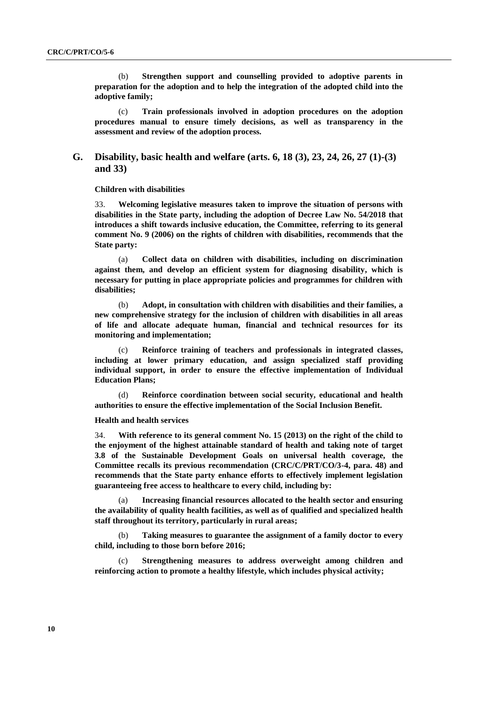(b) **Strengthen support and counselling provided to adoptive parents in preparation for the adoption and to help the integration of the adopted child into the adoptive family;**

(c) **Train professionals involved in adoption procedures on the adoption procedures manual to ensure timely decisions, as well as transparency in the assessment and review of the adoption process.**

## **G. Disability, basic health and welfare (arts. 6, 18 (3), 23, 24, 26, 27 (1)-(3) and 33)**

#### **Children with disabilities**

33. **Welcoming legislative measures taken to improve the situation of persons with disabilities in the State party, including the adoption of Decree Law No. 54/2018 that introduces a shift towards inclusive education, the Committee, referring to its general comment No. 9 (2006) on the rights of children with disabilities, recommends that the State party:**

(a) **Collect data on children with disabilities, including on discrimination against them, and develop an efficient system for diagnosing disability, which is necessary for putting in place appropriate policies and programmes for children with disabilities;**

(b) **Adopt, in consultation with children with disabilities and their families, a new comprehensive strategy for the inclusion of children with disabilities in all areas of life and allocate adequate human, financial and technical resources for its monitoring and implementation;**

(c) **Reinforce training of teachers and professionals in integrated classes, including at lower primary education, and assign specialized staff providing individual support, in order to ensure the effective implementation of Individual Education Plans;**

(d) **Reinforce coordination between social security, educational and health authorities to ensure the effective implementation of the Social Inclusion Benefit.**

#### **Health and health services**

34. **With reference to its general comment No. 15 (2013) on the right of the child to the enjoyment of the highest attainable standard of health and taking note of target 3.8 of the Sustainable Development Goals on universal health coverage, the Committee recalls its previous recommendation (CRC/C/PRT/CO/3-4, para. 48) and recommends that the State party enhance efforts to effectively implement legislation guaranteeing free access to healthcare to every child, including by:**

(a) **Increasing financial resources allocated to the health sector and ensuring the availability of quality health facilities, as well as of qualified and specialized health staff throughout its territory, particularly in rural areas;**

(b) **Taking measures to guarantee the assignment of a family doctor to every child, including to those born before 2016;**

(c) **Strengthening measures to address overweight among children and reinforcing action to promote a healthy lifestyle, which includes physical activity;**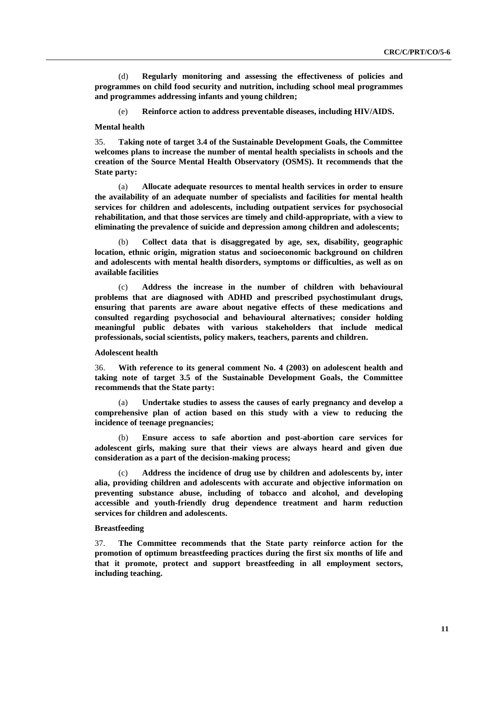(d) **Regularly monitoring and assessing the effectiveness of policies and programmes on child food security and nutrition, including school meal programmes and programmes addressing infants and young children;**

(e) **Reinforce action to address preventable diseases, including HIV/AIDS.**

#### **Mental health**

35. **Taking note of target 3.4 of the Sustainable Development Goals, the Committee welcomes plans to increase the number of mental health specialists in schools and the creation of the Source Mental Health Observatory (OSMS). It recommends that the State party:**

(a) **Allocate adequate resources to mental health services in order to ensure the availability of an adequate number of specialists and facilities for mental health services for children and adolescents, including outpatient services for psychosocial rehabilitation, and that those services are timely and child-appropriate, with a view to eliminating the prevalence of suicide and depression among children and adolescents;**

(b) **Collect data that is disaggregated by age, sex, disability, geographic location, ethnic origin, migration status and socioeconomic background on children and adolescents with mental health disorders, symptoms or difficulties, as well as on available facilities**

(c) **Address the increase in the number of children with behavioural problems that are diagnosed with ADHD and prescribed psychostimulant drugs, ensuring that parents are aware about negative effects of these medications and consulted regarding psychosocial and behavioural alternatives; consider holding meaningful public debates with various stakeholders that include medical professionals, social scientists, policy makers, teachers, parents and children.**

### **Adolescent health**

36. **With reference to its general comment No. 4 (2003) on adolescent health and taking note of target 3.5 of the Sustainable Development Goals, the Committee recommends that the State party:**

(a) **Undertake studies to assess the causes of early pregnancy and develop a comprehensive plan of action based on this study with a view to reducing the incidence of teenage pregnancies;**

(b) **Ensure access to safe abortion and post-abortion care services for adolescent girls, making sure that their views are always heard and given due consideration as a part of the decision-making process;**

(c) **Address the incidence of drug use by children and adolescents by, inter alia, providing children and adolescents with accurate and objective information on preventing substance abuse, including of tobacco and alcohol, and developing accessible and youth-friendly drug dependence treatment and harm reduction services for children and adolescents.**

### **Breastfeeding**

37. **The Committee recommends that the State party reinforce action for the promotion of optimum breastfeeding practices during the first six months of life and that it promote, protect and support breastfeeding in all employment sectors, including teaching.**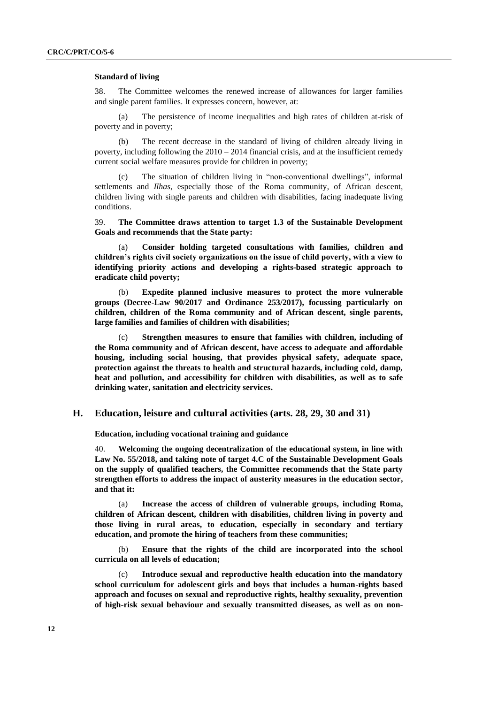#### **Standard of living**

38. The Committee welcomes the renewed increase of allowances for larger families and single parent families. It expresses concern, however, at:

(a) The persistence of income inequalities and high rates of children at-risk of poverty and in poverty;

(b) The recent decrease in the standard of living of children already living in poverty, including following the  $2010 - 2014$  financial crisis, and at the insufficient remedy current social welfare measures provide for children in poverty;

(c) The situation of children living in "non-conventional dwellings", informal settlements and *Ilhas*, especially those of the Roma community, of African descent, children living with single parents and children with disabilities, facing inadequate living conditions.

39. **The Committee draws attention to target 1.3 of the Sustainable Development Goals and recommends that the State party:**

(a) **Consider holding targeted consultations with families, children and children's rights civil society organizations on the issue of child poverty, with a view to identifying priority actions and developing a rights-based strategic approach to eradicate child poverty;**

(b) **Expedite planned inclusive measures to protect the more vulnerable groups (Decree-Law 90/2017 and Ordinance 253/2017), focussing particularly on children, children of the Roma community and of African descent, single parents, large families and families of children with disabilities;**

Strengthen measures to ensure that families with children, including of **the Roma community and of African descent, have access to adequate and affordable housing, including social housing, that provides physical safety, adequate space, protection against the threats to health and structural hazards, including cold, damp, heat and pollution, and accessibility for children with disabilities, as well as to safe drinking water, sanitation and electricity services.**

### **H. Education, leisure and cultural activities (arts. 28, 29, 30 and 31)**

**Education, including vocational training and guidance**

40. **Welcoming the ongoing decentralization of the educational system, in line with Law No. 55/2018, and taking note of target 4.C of the Sustainable Development Goals on the supply of qualified teachers, the Committee recommends that the State party strengthen efforts to address the impact of austerity measures in the education sector, and that it:**

(a) **Increase the access of children of vulnerable groups, including Roma, children of African descent, children with disabilities, children living in poverty and those living in rural areas, to education, especially in secondary and tertiary education, and promote the hiring of teachers from these communities;**

(b) **Ensure that the rights of the child are incorporated into the school curricula on all levels of education;**

Introduce sexual and reproductive health education into the mandatory **school curriculum for adolescent girls and boys that includes a human-rights based approach and focuses on sexual and reproductive rights, healthy sexuality, prevention of high-risk sexual behaviour and sexually transmitted diseases, as well as on non-**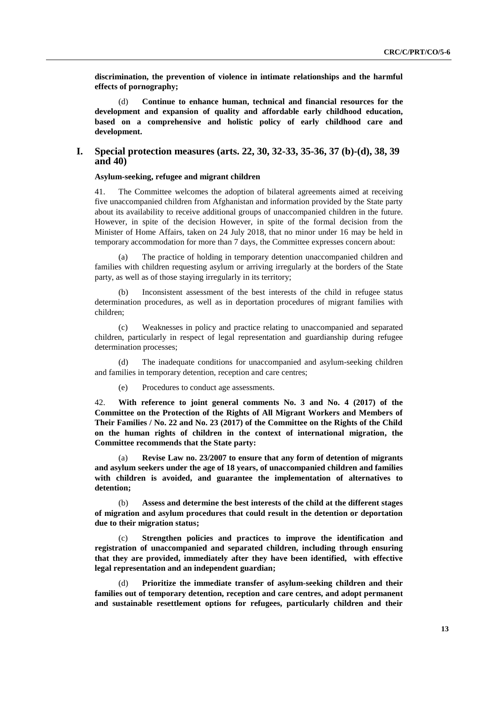**discrimination, the prevention of violence in intimate relationships and the harmful effects of pornography;**

(d) **Continue to enhance human, technical and financial resources for the development and expansion of quality and affordable early childhood education, based on a comprehensive and holistic policy of early childhood care and development.**

## **I. Special protection measures (arts. 22, 30, 32-33, 35-36, 37 (b)-(d), 38, 39 and 40)**

#### **Asylum-seeking, refugee and migrant children**

41. The Committee welcomes the adoption of bilateral agreements aimed at receiving five unaccompanied children from Afghanistan and information provided by the State party about its availability to receive additional groups of unaccompanied children in the future. However, in spite of the decision However, in spite of the formal decision from the Minister of Home Affairs, taken on 24 July 2018, that no minor under 16 may be held in temporary accommodation for more than 7 days, the Committee expresses concern about:

(a) The practice of holding in temporary detention unaccompanied children and families with children requesting asylum or arriving irregularly at the borders of the State party, as well as of those staying irregularly in its territory;

(b) Inconsistent assessment of the best interests of the child in refugee status determination procedures, as well as in deportation procedures of migrant families with children;

(c) Weaknesses in policy and practice relating to unaccompanied and separated children, particularly in respect of legal representation and guardianship during refugee determination processes;

(d) The inadequate conditions for unaccompanied and asylum-seeking children and families in temporary detention, reception and care centres;

(e) Procedures to conduct age assessments.

42. **With reference to joint general comments No. 3 and No. 4 (2017) of the Committee on the Protection of the Rights of All Migrant Workers and Members of Their Families / No. 22 and No. 23 (2017) of the Committee on the Rights of the Child on the human rights of children in the context of international migration, the Committee recommends that the State party:**

(a) **Revise Law no. 23/2007 to ensure that any form of detention of migrants and asylum seekers under the age of 18 years, of unaccompanied children and families with children is avoided, and guarantee the implementation of alternatives to detention;**

(b) **Assess and determine the best interests of the child at the different stages of migration and asylum procedures that could result in the detention or deportation due to their migration status;**

(c) **Strengthen policies and practices to improve the identification and registration of unaccompanied and separated children, including through ensuring that they are provided, immediately after they have been identified, with effective legal representation and an independent guardian;**

(d) **Prioritize the immediate transfer of asylum-seeking children and their families out of temporary detention, reception and care centres, and adopt permanent and sustainable resettlement options for refugees, particularly children and their**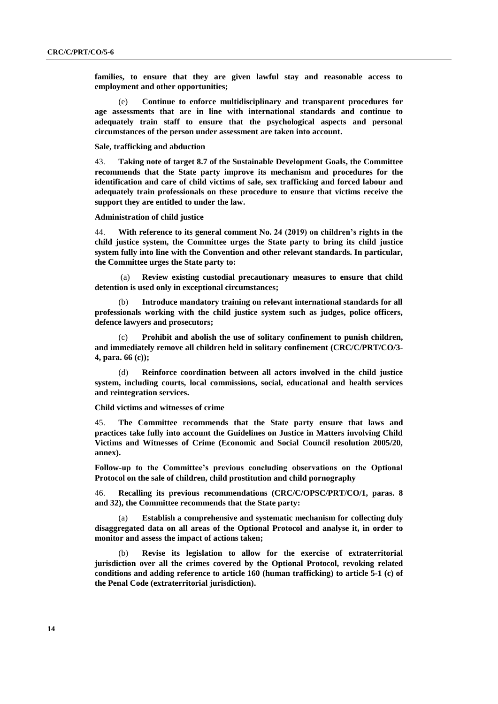**families, to ensure that they are given lawful stay and reasonable access to employment and other opportunities;**

(e) **Continue to enforce multidisciplinary and transparent procedures for age assessments that are in line with international standards and continue to adequately train staff to ensure that the psychological aspects and personal circumstances of the person under assessment are taken into account.**

**Sale, trafficking and abduction**

43. **Taking note of target 8.7 of the Sustainable Development Goals, the Committee recommends that the State party improve its mechanism and procedures for the identification and care of child victims of sale, sex trafficking and forced labour and adequately train professionals on these procedure to ensure that victims receive the support they are entitled to under the law.**

**Administration of child justice**

44. **With reference to its general comment No. 24 (2019) on children's rights in the child justice system, the Committee urges the State party to bring its child justice system fully into line with the Convention and other relevant standards. In particular, the Committee urges the State party to:**

(a) **Review existing custodial precautionary measures to ensure that child detention is used only in exceptional circumstances;**

(b) **Introduce mandatory training on relevant international standards for all professionals working with the child justice system such as judges, police officers, defence lawyers and prosecutors;**

(c) **Prohibit and abolish the use of solitary confinement to punish children, and immediately remove all children held in solitary confinement (CRC/C/PRT/CO/3- 4, para. 66 (c));**

(d) **Reinforce coordination between all actors involved in the child justice system, including courts, local commissions, social, educational and health services and reintegration services.**

**Child victims and witnesses of crime**

45. **The Committee recommends that the State party ensure that laws and practices take fully into account the Guidelines on Justice in Matters involving Child Victims and Witnesses of Crime (Economic and Social Council resolution 2005/20, annex).**

**Follow-up to the Committee's previous concluding observations on the Optional Protocol on the sale of children, child prostitution and child pornography**

46. **Recalling its previous recommendations (CRC/C/OPSC/PRT/CO/1, paras. 8 and 32), the Committee recommends that the State party:**

**Establish a comprehensive and systematic mechanism for collecting duly disaggregated data on all areas of the Optional Protocol and analyse it, in order to monitor and assess the impact of actions taken;**

(b) **Revise its legislation to allow for the exercise of extraterritorial jurisdiction over all the crimes covered by the Optional Protocol, revoking related conditions and adding reference to article 160 (human trafficking) to article 5-1 (c) of the Penal Code (extraterritorial jurisdiction).**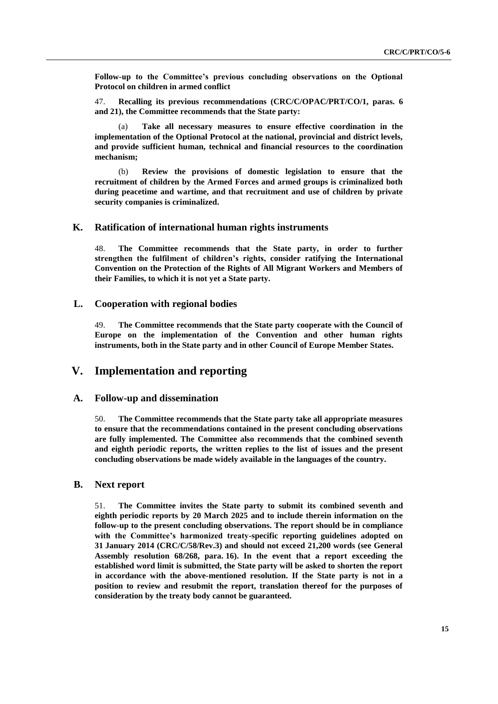**Follow-up to the Committee's previous concluding observations on the Optional Protocol on children in armed conflict**

47. **Recalling its previous recommendations (CRC/C/OPAC/PRT/CO/1, paras. 6 and 21), the Committee recommends that the State party:**

(a) **Take all necessary measures to ensure effective coordination in the implementation of the Optional Protocol at the national, provincial and district levels, and provide sufficient human, technical and financial resources to the coordination mechanism;**

(b) **Review the provisions of domestic legislation to ensure that the recruitment of children by the Armed Forces and armed groups is criminalized both during peacetime and wartime, and that recruitment and use of children by private security companies is criminalized.**

## **K. Ratification of international human rights instruments**

48. **The Committee recommends that the State party, in order to further strengthen the fulfilment of children's rights, consider ratifying the International Convention on the Protection of the Rights of All Migrant Workers and Members of their Families, to which it is not yet a State party.**

### **L. Cooperation with regional bodies**

49. **The Committee recommends that the State party cooperate with the Council of Europe on the implementation of the Convention and other human rights instruments, both in the State party and in other Council of Europe Member States.** 

## **V. Implementation and reporting**

## **A. Follow-up and dissemination**

50. **The Committee recommends that the State party take all appropriate measures to ensure that the recommendations contained in the present concluding observations are fully implemented. The Committee also recommends that the combined seventh and eighth periodic reports, the written replies to the list of issues and the present concluding observations be made widely available in the languages of the country.**

## **B. Next report**

51. **The Committee invites the State party to submit its combined seventh and eighth periodic reports by 20 March 2025 and to include therein information on the follow-up to the present concluding observations. The report should be in compliance with the Committee's harmonized treaty-specific reporting guidelines adopted on 31 January 2014 (CRC/C/58/Rev.3) and should not exceed 21,200 words (see General Assembly resolution 68/268, para. 16). In the event that a report exceeding the established word limit is submitted, the State party will be asked to shorten the report in accordance with the above-mentioned resolution. If the State party is not in a position to review and resubmit the report, translation thereof for the purposes of consideration by the treaty body cannot be guaranteed.**